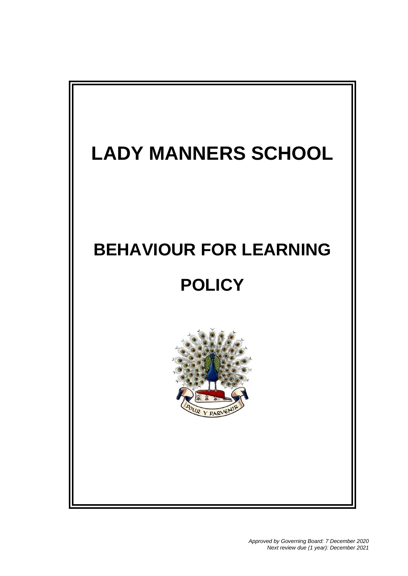# **LADY MANNERS SCHOOL BEHAVIOUR FOR LEARNING POLICY**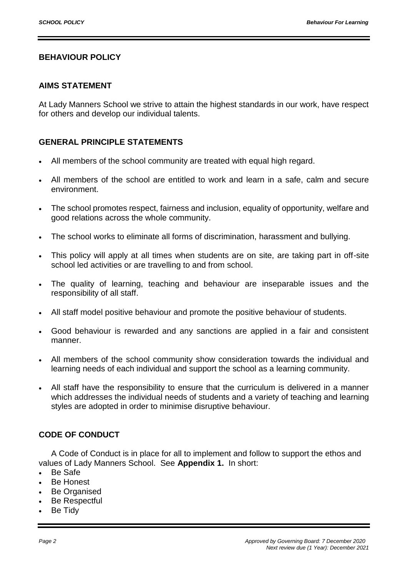#### **BEHAVIOUR POLICY**

#### **AIMS STATEMENT**

At Lady Manners School we strive to attain the highest standards in our work, have respect for others and develop our individual talents.

#### **GENERAL PRINCIPLE STATEMENTS**

- All members of the school community are treated with equal high regard.
- All members of the school are entitled to work and learn in a safe, calm and secure environment.
- The school promotes respect, fairness and inclusion, equality of opportunity, welfare and good relations across the whole community.
- The school works to eliminate all forms of discrimination, harassment and bullying.
- This policy will apply at all times when students are on site, are taking part in off-site school led activities or are travelling to and from school.
- The quality of learning, teaching and behaviour are inseparable issues and the responsibility of all staff.
- All staff model positive behaviour and promote the positive behaviour of students.
- Good behaviour is rewarded and any sanctions are applied in a fair and consistent manner.
- All members of the school community show consideration towards the individual and learning needs of each individual and support the school as a learning community.
- All staff have the responsibility to ensure that the curriculum is delivered in a manner which addresses the individual needs of students and a variety of teaching and learning styles are adopted in order to minimise disruptive behaviour.

#### **CODE OF CONDUCT**

A Code of Conduct is in place for all to implement and follow to support the ethos and values of Lady Manners School. See **Appendix 1.** In short:

- Be Safe
- Be Honest
- Be Organised
- Be Respectful
- Be Tidy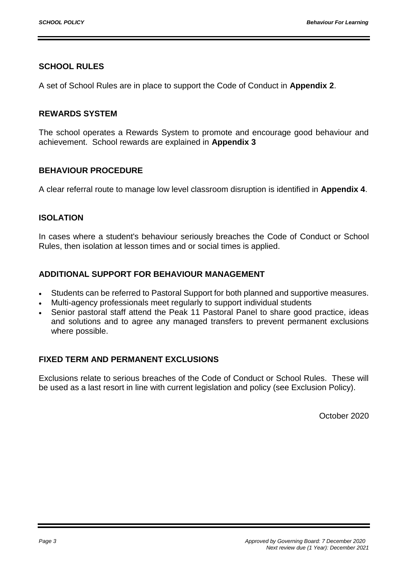#### **SCHOOL RULES**

A set of School Rules are in place to support the Code of Conduct in **Appendix 2**.

#### **REWARDS SYSTEM**

The school operates a Rewards System to promote and encourage good behaviour and achievement. School rewards are explained in **Appendix 3**

#### **BEHAVIOUR PROCEDURE**

A clear referral route to manage low level classroom disruption is identified in **Appendix 4**.

#### **ISOLATION**

In cases where a student's behaviour seriously breaches the Code of Conduct or School Rules, then isolation at lesson times and or social times is applied.

#### **ADDITIONAL SUPPORT FOR BEHAVIOUR MANAGEMENT**

- Students can be referred to Pastoral Support for both planned and supportive measures.
- Multi-agency professionals meet regularly to support individual students
- Senior pastoral staff attend the Peak 11 Pastoral Panel to share good practice, ideas and solutions and to agree any managed transfers to prevent permanent exclusions where possible.

#### **FIXED TERM AND PERMANENT EXCLUSIONS**

Exclusions relate to serious breaches of the Code of Conduct or School Rules. These will be used as a last resort in line with current legislation and policy (see Exclusion Policy).

October 2020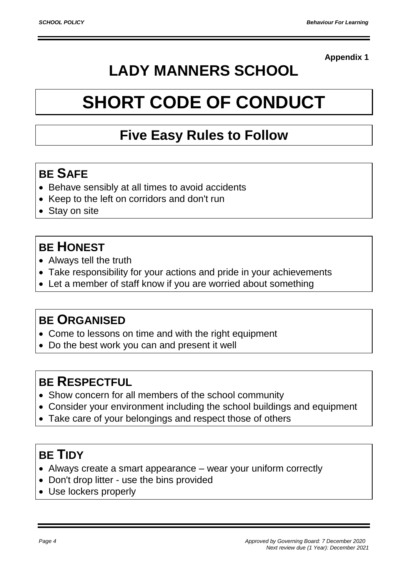# **LADY MANNERS SCHOOL**

# **SHORT CODE OF CONDUCT**

# **Five Easy Rules to Follow**

# **BE SAFE**

- Behave sensibly at all times to avoid accidents
- Keep to the left on corridors and don't run
- Stay on site

# **BE HONEST**

- Always tell the truth
- Take responsibility for your actions and pride in your achievements
- Let a member of staff know if you are worried about something

## **BE ORGANISED**

- Come to lessons on time and with the right equipment
- Do the best work you can and present it well

## **BE RESPECTFUL**

- Show concern for all members of the school community
- Consider your environment including the school buildings and equipment
- Take care of your belongings and respect those of others

## **BE TIDY**

- Always create a smart appearance wear your uniform correctly
- Don't drop litter use the bins provided
- Use lockers properly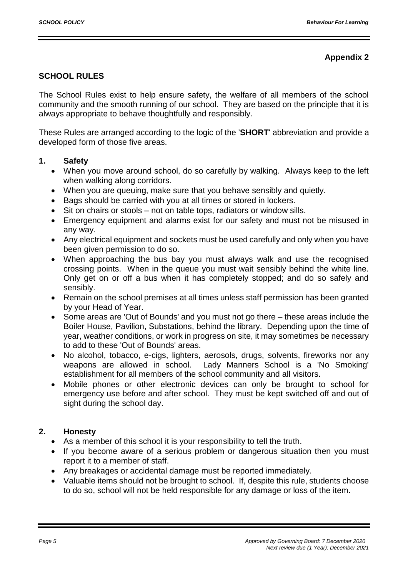#### **SCHOOL RULES**

The School Rules exist to help ensure safety, the welfare of all members of the school community and the smooth running of our school. They are based on the principle that it is always appropriate to behave thoughtfully and responsibly.

These Rules are arranged according to the logic of the '**SHORT**' abbreviation and provide a developed form of those five areas.

#### **1. Safety**

- When you move around school, do so carefully by walking. Always keep to the left when walking along corridors.
- When you are queuing, make sure that you behave sensibly and quietly.
- Bags should be carried with you at all times or stored in lockers.
- Sit on chairs or stools not on table tops, radiators or window sills.
- Emergency equipment and alarms exist for our safety and must not be misused in any way.
- Any electrical equipment and sockets must be used carefully and only when you have been given permission to do so.
- When approaching the bus bay you must always walk and use the recognised crossing points. When in the queue you must wait sensibly behind the white line. Only get on or off a bus when it has completely stopped; and do so safely and sensibly.
- Remain on the school premises at all times unless staff permission has been granted by your Head of Year.
- Some areas are 'Out of Bounds' and you must not go there these areas include the Boiler House, Pavilion, Substations, behind the library. Depending upon the time of year, weather conditions, or work in progress on site, it may sometimes be necessary to add to these 'Out of Bounds' areas.
- No alcohol, tobacco, e-cigs, lighters, aerosols, drugs, solvents, fireworks nor any weapons are allowed in school. Lady Manners School is a 'No Smoking' establishment for all members of the school community and all visitors.
- Mobile phones or other electronic devices can only be brought to school for emergency use before and after school. They must be kept switched off and out of sight during the school day.

#### **2. Honesty**

- As a member of this school it is your responsibility to tell the truth.
- If you become aware of a serious problem or dangerous situation then you must report it to a member of staff.
- Any breakages or accidental damage must be reported immediately.
- Valuable items should not be brought to school. If, despite this rule, students choose to do so, school will not be held responsible for any damage or loss of the item.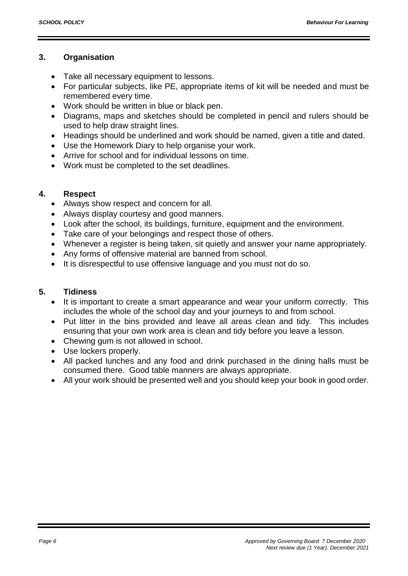#### **3. Organisation**

- Take all necessary equipment to lessons.
- For particular subjects, like PE, appropriate items of kit will be needed and must be remembered every time.
- Work should be written in blue or black pen.
- Diagrams, maps and sketches should be completed in pencil and rulers should be used to help draw straight lines.
- Headings should be underlined and work should be named, given a title and dated.
- Use the Homework Diary to help organise your work.
- Arrive for school and for individual lessons on time.
- Work must be completed to the set deadlines.

#### **4. Respect**

- Always show respect and concern for all.
- Always display courtesy and good manners.
- Look after the school, its buildings, furniture, equipment and the environment.
- Take care of your belongings and respect those of others.
- Whenever a register is being taken, sit quietly and answer your name appropriately.
- Any forms of offensive material are banned from school.
- It is disrespectful to use offensive language and you must not do so.

#### **5. Tidiness**

- It is important to create a smart appearance and wear your uniform correctly. This includes the whole of the school day and your journeys to and from school.
- Put litter in the bins provided and leave all areas clean and tidy. This includes ensuring that your own work area is clean and tidy before you leave a lesson.
- Chewing gum is not allowed in school.
- Use lockers properly.
- All packed lunches and any food and drink purchased in the dining halls must be consumed there. Good table manners are always appropriate.
- All your work should be presented well and you should keep your book in good order.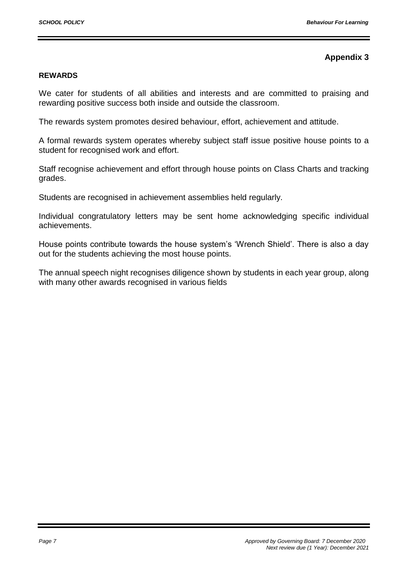#### **REWARDS**

We cater for students of all abilities and interests and are committed to praising and rewarding positive success both inside and outside the classroom.

The rewards system promotes desired behaviour, effort, achievement and attitude.

A formal rewards system operates whereby subject staff issue positive house points to a student for recognised work and effort.

Staff recognise achievement and effort through house points on Class Charts and tracking grades.

Students are recognised in achievement assemblies held regularly.

Individual congratulatory letters may be sent home acknowledging specific individual achievements.

House points contribute towards the house system's 'Wrench Shield'. There is also a day out for the students achieving the most house points.

The annual speech night recognises diligence shown by students in each year group, along with many other awards recognised in various fields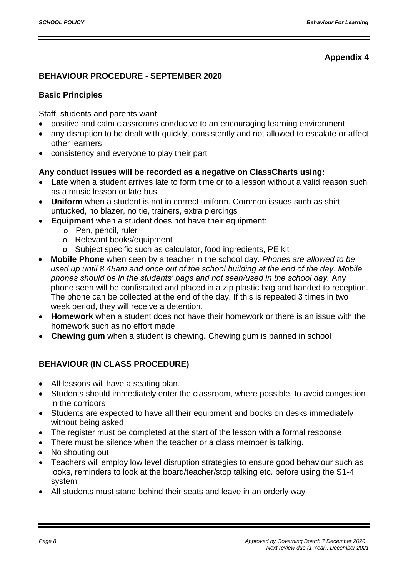#### **BEHAVIOUR PROCEDURE - SEPTEMBER 2020**

#### **Basic Principles**

Staff, students and parents want

- positive and calm classrooms conducive to an encouraging learning environment
- any disruption to be dealt with quickly, consistently and not allowed to escalate or affect other learners
- consistency and everyone to play their part

#### **Any conduct issues will be recorded as a negative on ClassCharts using:**

- **Late** when a student arrives late to form time or to a lesson without a valid reason such as a music lesson or late bus
- **Uniform** when a student is not in correct uniform. Common issues such as shirt untucked, no blazer, no tie, trainers, extra piercings
- **Equipment** when a student does not have their equipment:
	- o Pen, pencil, ruler
	- o Relevant books/equipment
	- o Subject specific such as calculator, food ingredients, PE kit
- **Mobile Phone** when seen by a teacher in the school day. *Phones are allowed to be used up until 8.45am and once out of the school building at the end of the day. Mobile phones should be in the students' bags and not seen/used in the school day.* Any phone seen will be confiscated and placed in a zip plastic bag and handed to reception. The phone can be collected at the end of the day. If this is repeated 3 times in two week period, they will receive a detention.
- **Homework** when a student does not have their homework or there is an issue with the homework such as no effort made
- **Chewing gum** when a student is chewing**.** Chewing gum is banned in school

#### **BEHAVIOUR (IN CLASS PROCEDURE)**

- All lessons will have a seating plan.
- Students should immediately enter the classroom, where possible, to avoid congestion in the corridors
- Students are expected to have all their equipment and books on desks immediately without being asked
- The register must be completed at the start of the lesson with a formal response
- There must be silence when the teacher or a class member is talking.
- No shouting out
- Teachers will employ low level disruption strategies to ensure good behaviour such as looks, reminders to look at the board/teacher/stop talking etc. before using the S1-4 system
- All students must stand behind their seats and leave in an orderly way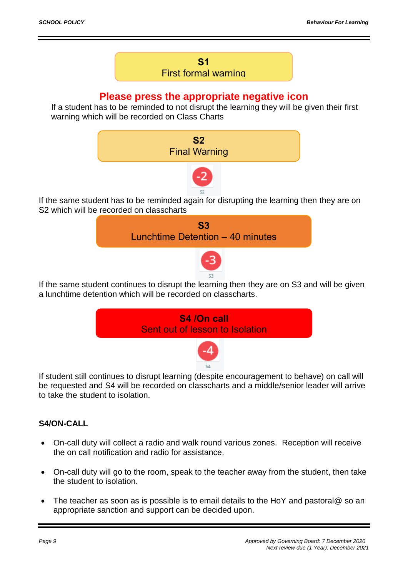#### **S1** First formal warning

#### **Please press the appropriate negative icon**

If a student has to be reminded to not disrupt the learning they will be given their first warning which will be recorded on Class Charts



If the same student has to be reminded again for disrupting the learning then they are on S2 which will be recorded on classcharts



If the same student continues to disrupt the learning then they are on S3 and will be given a lunchtime detention which will be recorded on classcharts.



If student still continues to disrupt learning (despite encouragement to behave) on call will be requested and S4 will be recorded on classcharts and a middle/senior leader will arrive to take the student to isolation.

#### **S4/ON-CALL**

- On-call duty will collect a radio and walk round various zones. Reception will receive the on call notification and radio for assistance.
- On-call duty will go to the room, speak to the teacher away from the student, then take the student to isolation.
- The teacher as soon as is possible is to email details to the HoY and pastoral@ so an appropriate sanction and support can be decided upon.